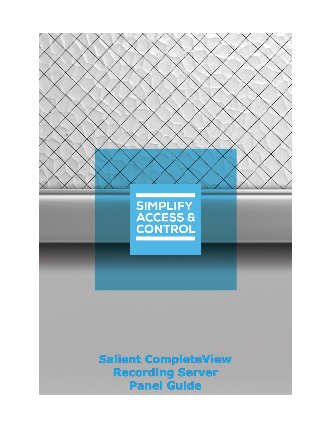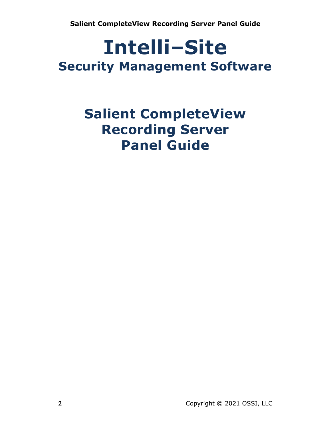# **Intelli‒Site Security Management Software**

# **Salient CompleteView Recording Server Panel Guide**

**2** Copyright © 2021 OSSI, LLC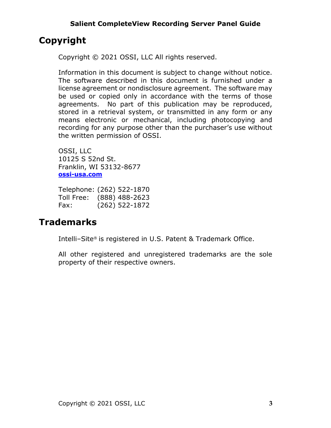# <span id="page-2-0"></span>**Copyright**

Copyright © 2021 OSSI, LLC All rights reserved.

Information in this document is subject to change without notice. The software described in this document is furnished under a license agreement or nondisclosure agreement. The software may be used or copied only in accordance with the terms of those agreements. No part of this publication may be reproduced, stored in a retrieval system, or transmitted in any form or any means electronic or mechanical, including photocopying and recording for any purpose other than the purchaser's use without the written permission of OSSI.

OSSI, LLC 10125 S 52nd St. Franklin, WI 53132-8677 **[ossi-usa.com](http://ossi-usa.com/)**

Telephone: (262) 522-1870 Toll Free: (888) 488-2623 Fax: (262) 522-1872

# <span id="page-2-1"></span>**Trademarks**

Intelli-Site® is registered in U.S. Patent & Trademark Office.

All other registered and unregistered trademarks are the sole property of their respective owners.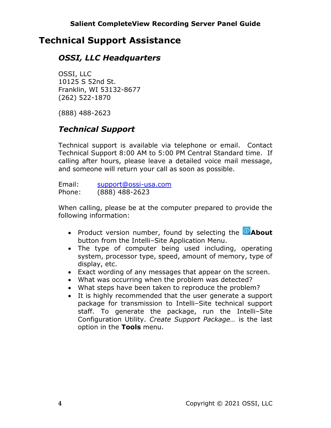## <span id="page-3-0"></span>**Technical Support Assistance**

### *OSSI, LLC Headquarters*

OSSI, LLC 10125 S 52nd St. Franklin, WI 53132-8677 (262) 522-1870

(888) 488-2623

### *Technical Support*

Technical support is available via telephone or email. Contact Technical Support 8:00 AM to 5:00 PM Central Standard time. If calling after hours, please leave a detailed voice mail message, and someone will return your call as soon as possible.

Email: [support@ossi-usa.com](mailto:support@ossi-usa.com) Phone: (888) 488-2623

When calling, please be at the computer prepared to provide the following information:

- Product version number, found by selecting the **C**About button from the Intelli-Site Application Menu.
- The type of computer being used including, operating system, processor type, speed, amount of memory, type of display, etc.
- Exact wording of any messages that appear on the screen.
- What was occurring when the problem was detected?
- What steps have been taken to reproduce the problem?
- It is highly recommended that the user generate a support package for transmission to Intelli-Site technical support staff. To generate the package, run the Intelli-Site Configuration Utility. *Create Support Package…* is the last option in the **Tools** menu.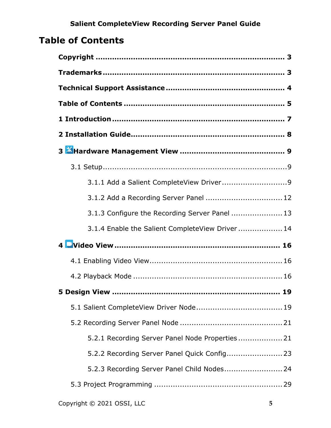# <span id="page-4-0"></span>**Table of Contents**

| 3.1.1 Add a Salient CompleteView Driver9         |  |
|--------------------------------------------------|--|
| 3.1.2 Add a Recording Server Panel  12           |  |
| 3.1.3 Configure the Recording Server Panel  13   |  |
|                                                  |  |
| 3.1.4 Enable the Salient CompleteView Driver  14 |  |
|                                                  |  |
|                                                  |  |
|                                                  |  |
|                                                  |  |
|                                                  |  |
|                                                  |  |
| 5.2.1 Recording Server Panel Node Properties 21  |  |
| 5.2.2 Recording Server Panel Quick Config 23     |  |
| 5.2.3 Recording Server Panel Child Nodes 24      |  |
|                                                  |  |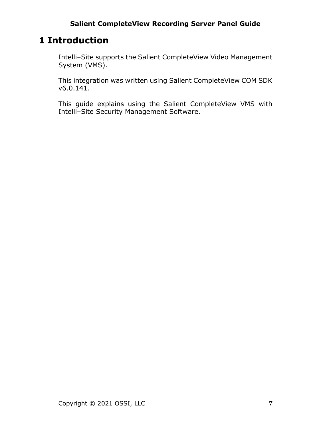# <span id="page-6-0"></span>**1 Introduction**

Intelli-Site supports the Salient CompleteView Video Management System (VMS).

This integration was written using Salient CompleteView COM SDK v6.0.141.

This guide explains using the Salient CompleteView VMS with Intelli-Site Security Management Software.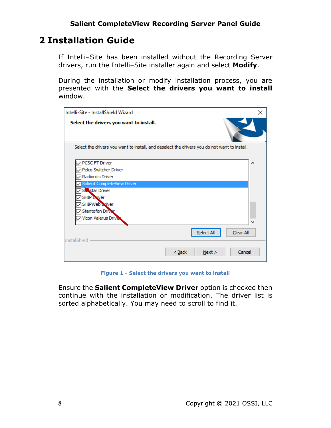# <span id="page-7-0"></span>**2 Installation Guide**

If Intelli-Site has been installed without the Recording Server drivers, run the Intelli-Site installer again and select Modify.

During the installation or modify installation process, you are presented with the **Select the drivers you want to install** window.

| Intelli-Site - InstallShield Wizard                                                          | $\times$ |
|----------------------------------------------------------------------------------------------|----------|
| Select the drivers you want to install.                                                      |          |
| Select the drivers you want to install, and deselect the drivers you do not want to install. |          |
| PCSC FT Driver<br>Pelco Switcher Driver<br>Radionics Driver                                  | ۸        |
| Salient CompleteView Driver<br>St. star Driver<br><b>SHIP L ver</b>                          |          |
| SHIPWeb L river<br>Stentofon Drive<br><b>Vicon Valerus Drive</b>                             |          |
| Select All<br>Clear All<br><b>InstallShield</b>                                              |          |
| $Back$<br>Cancel<br>Next >                                                                   |          |

**Figure 1 - Select the drivers you want to install**

Ensure the **Salient CompleteView Driver** option is checked then continue with the installation or modification. The driver list is sorted alphabetically. You may need to scroll to find it.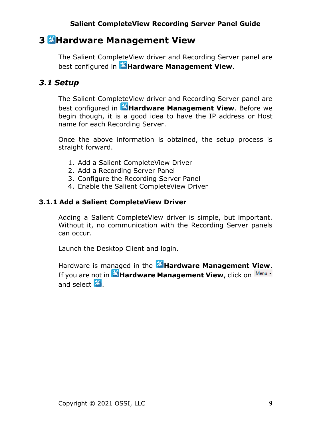# <span id="page-8-0"></span>**3 Hardware Management View**

The Salient CompleteView driver and Recording Server panel are best configured in **Hardware Management View**.

### <span id="page-8-1"></span>*3.1 Setup*

The Salient CompleteView driver and Recording Server panel are best configured in **Hardware Management View**. Before we begin though, it is a good idea to have the IP address or Host name for each Recording Server.

Once the above information is obtained, the setup process is straight forward.

- 1. Add a Salient CompleteView Driver
- 2. Add a Recording Server Panel
- 3. Configure the Recording Server Panel
- 4. Enable the Salient CompleteView Driver

### <span id="page-8-2"></span>**3.1.1 Add a Salient CompleteView Driver**

Adding a Salient CompleteView driver is simple, but important. Without it, no communication with the Recording Server panels can occur.

Launch the Desktop Client and login.

Hardware is managed in the **Manadware Management View**. If you are not in **Hardware Management View**, click on Menu  $\cdot$ and select  $\mathbb{X}$ .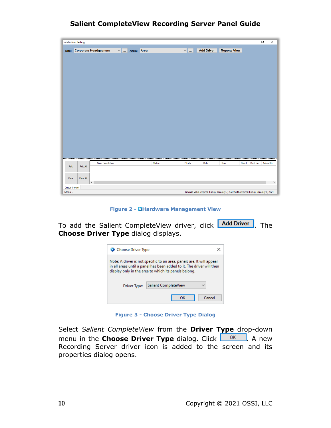|                         | Intelli-Site - Testing |                              |                          |            |        |                    |                                                                                      |                     |       | -        | $\Box$   | $\times$ |
|-------------------------|------------------------|------------------------------|--------------------------|------------|--------|--------------------|--------------------------------------------------------------------------------------|---------------------|-------|----------|----------|----------|
|                         |                        | Site: Corporate Headquarters | $\vee$<br>$\mathbb{Z}^2$ | Area: Area |        | $\vee$ $\parallel$ | <b>Add Driver</b>                                                                    | <b>Reports View</b> |       |          |          |          |
|                         |                        |                              |                          |            |        |                    |                                                                                      |                     |       |          |          |          |
|                         |                        |                              |                          |            |        |                    |                                                                                      |                     |       |          |          |          |
|                         |                        |                              |                          |            |        |                    |                                                                                      |                     |       |          |          |          |
|                         |                        |                              |                          |            |        |                    |                                                                                      |                     |       |          |          |          |
|                         |                        |                              |                          |            |        |                    |                                                                                      |                     |       |          |          |          |
|                         |                        |                              |                          |            |        |                    |                                                                                      |                     |       |          |          |          |
|                         |                        |                              |                          |            |        |                    |                                                                                      |                     |       |          |          |          |
|                         |                        |                              |                          |            |        |                    |                                                                                      |                     |       |          |          |          |
|                         |                        |                              |                          |            |        |                    |                                                                                      |                     |       |          |          |          |
|                         |                        |                              |                          |            |        |                    |                                                                                      |                     |       |          |          |          |
|                         |                        |                              |                          |            |        |                    |                                                                                      |                     |       |          |          |          |
|                         |                        |                              |                          |            |        |                    |                                                                                      |                     |       |          |          |          |
|                         |                        |                              |                          |            |        |                    |                                                                                      |                     |       |          |          |          |
|                         |                        |                              |                          |            |        |                    |                                                                                      |                     |       |          |          |          |
|                         |                        | <b>Alam Description</b>      |                          |            | Status | Priority           | Date                                                                                 | Time                | Count | Card No. | Acked By |          |
| ${\sf Ack}$             | Ack All                |                              |                          |            |        |                    |                                                                                      |                     |       |          |          |          |
| Clear                   | Clear All              |                              |                          |            |        |                    |                                                                                      |                     |       |          |          |          |
|                         |                        | $\langle$                    |                          |            |        |                    |                                                                                      |                     |       |          |          | $\,$     |
| Queue Control<br>Menu - |                        |                              |                          |            |        |                    | License Valid, expires: Friday, January 7, 2022 SMA expires: Friday, January 8, 2021 |                     |       |          |          |          |

#### **Figure 2 - Hardware Management View**

To add the Salient CompleteView driver, click **Add Driver** . The **Choose Driver Type** dialog displays.



**Figure 3 - Choose Driver Type Dialog**

Select *Salient CompleteView* from the **Driver Type** drop-down menu in the **Choose Driver Type** dialog. Click **. OK ...** A new Recording Server driver icon is added to the screen and its properties dialog opens.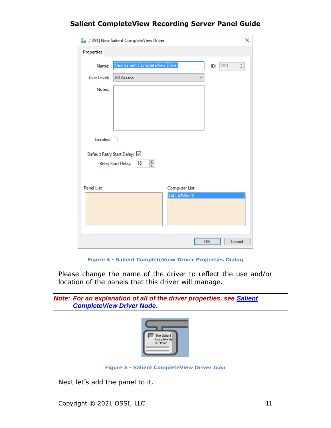| I [1291] New Salient CompleteView Driver<br>× |                |                              |  |  |  |  |  |
|-----------------------------------------------|----------------|------------------------------|--|--|--|--|--|
| Properties                                    |                |                              |  |  |  |  |  |
| New Salient CompleteView Driver<br>Name:      |                | $\frac{+}{+}$<br>1291<br>ID: |  |  |  |  |  |
| <b>All Access</b><br><b>User Level:</b>       | $\checkmark$   |                              |  |  |  |  |  |
| Notes:                                        |                |                              |  |  |  |  |  |
|                                               |                |                              |  |  |  |  |  |
| Enabled:                                      |                |                              |  |  |  |  |  |
| Default Retry Start Delay: ☑                  |                |                              |  |  |  |  |  |
| 츾<br>15<br>Retry Start Delay:                 |                |                              |  |  |  |  |  |
|                                               |                |                              |  |  |  |  |  |
| <b>Panel List:</b>                            | Computer List: |                              |  |  |  |  |  |
|                                               | [4] LATWin10   |                              |  |  |  |  |  |
|                                               |                |                              |  |  |  |  |  |
|                                               | OK             | Cancel                       |  |  |  |  |  |

**Figure 4 - Salient CompleteView Driver Properties Dialog**

Please change the name of the driver to reflect the use and/or location of the panels that this driver will manage.



Next let's add the panel to it.

Copyright © 2021 OSSI, LLC **11**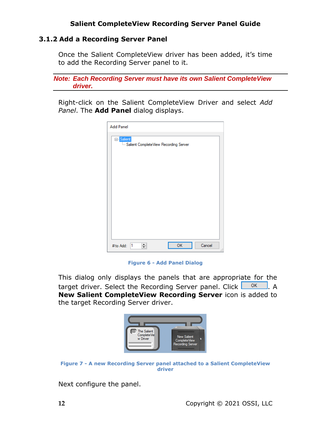### <span id="page-11-0"></span>**3.1.2 Add a Recording Server Panel**

Once the Salient CompleteView driver has been added, it's time to add the Recording Server panel to it.

*Note: Each Recording Server must have its own Salient CompleteView driver.*

Right-click on the Salient CompleteView Driver and select *Add Panel*. The **Add Panel** dialog displays.

| <b>Add Panel</b>                                     |
|------------------------------------------------------|
| □ Salient<br>i Salient CompleteView Recording Server |
| OK<br>Cancel<br>$\div$<br>1<br># to Add:             |

**Figure 6 - Add Panel Dialog**

This dialog only displays the panels that are appropriate for the target driver. Select the Recording Server panel. Click  $\Box$  OK  $\Box$ . A **New Salient CompleteView Recording Server** icon is added to the target Recording Server driver.



**Figure 7 - A new Recording Server panel attached to a Salient CompleteView driver**

Next configure the panel.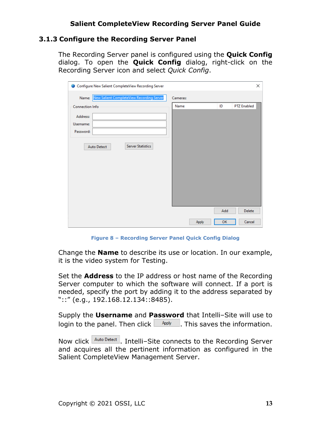### <span id="page-12-0"></span>**3.1.3 Configure the Recording Server Panel**

The Recording Server panel is configured using the **Quick Config** dialog. To open the **Quick Config** dialog, right-click on the Recording Server icon and select *Quick Config*.

| Configure New Salient CompleteView Recording Server |          |     | $\times$           |
|-----------------------------------------------------|----------|-----|--------------------|
| New Salient CompleteView Recording Server<br>Name:  | Cameras: |     |                    |
| Connection Info                                     | Name     | ID  | <b>PTZ Enabled</b> |
| Address:                                            |          |     |                    |
| Username:                                           |          |     |                    |
| Password:                                           |          |     |                    |
|                                                     |          |     |                    |
| <b>Server Statistics</b><br><b>Auto Detect</b>      |          |     |                    |
|                                                     |          |     |                    |
|                                                     |          |     |                    |
|                                                     |          |     |                    |
|                                                     |          |     |                    |
|                                                     |          |     |                    |
|                                                     |          |     |                    |
|                                                     |          | Add | Delete             |
|                                                     | Apply    | OK  | Cancel             |

**Figure 8 – Recording Server Panel Quick Config Dialog**

Change the **Name** to describe its use or location. In our example, it is the video system for Testing.

Set the **Address** to the IP address or host name of the Recording Server computer to which the software will connect. If a port is needed, specify the port by adding it to the address separated by "::" (e.g., 192.168.12.134::8485).

Supply the **Username** and **Password** that Intelli-Site will use to login to the panel. Then click  $\Box$  Apply  $\Box$ . This saves the information.

Now click **Auto Detect** . Intelli-Site connects to the Recording Server and acquires all the pertinent information as configured in the Salient CompleteView Management Server.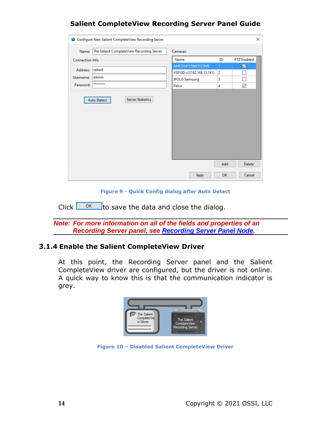|                        | Configure New Salient CompleteView Recording Server |                           |     |                    |
|------------------------|-----------------------------------------------------|---------------------------|-----|--------------------|
| Name:                  | The Salient CompleteView Recording Server           | Cameras:                  |     |                    |
| <b>Connection Info</b> |                                                     | Name                      | ID  | <b>PTZ Enabled</b> |
| Address:               | salient                                             | AMC01415169CF37A0E        | 1   | ☑                  |
|                        |                                                     | VS8100-v2(192.168.12.141) | 2   | ſJ                 |
| Username:              | admin                                               | iPOLIS Samsung            | 3   | L.                 |
| Password:              | ********                                            | Pelco                     | 4   | $\checkmark$       |
|                        | <b>Server Statistics</b><br>Auto Detect             |                           |     |                    |
|                        |                                                     |                           | Add | <b>Delete</b>      |

**Figure 9 - Quick Config dialog after Auto Detect**

Click  $\frac{K}{K}$  to save the data and close the dialog.

*Note: For more information on all of the fields and properties of an Recording Server panel, see [Recording Server](#page-20-2) Panel Node.*

### <span id="page-13-0"></span>**3.1.4 Enable the Salient CompleteView Driver**

At this point, the Recording Server panel and the Salient CompleteView driver are configured, but the driver is not online. A quick way to know this is that the communication indicator is grey.



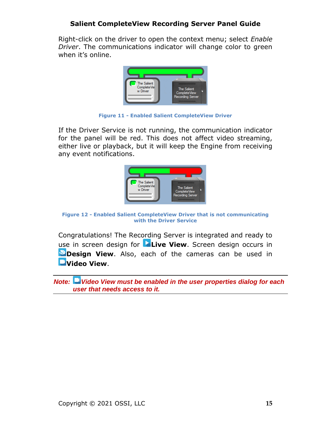Right-click on the driver to open the context menu; select *Enable Driver*. The communications indicator will change color to green when it's online.



**Figure 11 - Enabled Salient CompleteView Driver**

If the Driver Service is not running, the communication indicator for the panel will be red. This does not affect video streaming, either live or playback, but it will keep the Engine from receiving any event notifications.



**Figure 12 - Enabled Salient CompleteView Driver that is not communicating with the Driver Service**

Congratulations! The Recording Server is integrated and ready to use in screen design for **Live View**. Screen design occurs in **Design View**. Also, each of the cameras can be used in **Video View**.

*Note: Video View must be enabled in the user properties dialog for each user that needs access to it.*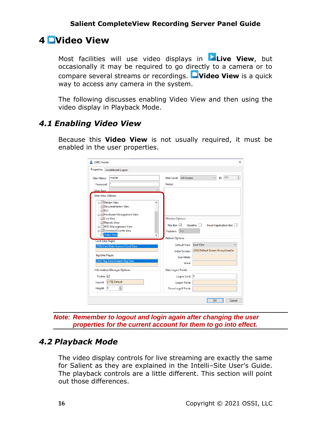# <span id="page-15-0"></span>**4 Video View**

Most facilities will use video displays in **Live View**, but occasionally it may be required to go directly to a camera or to compare several streams or recordings. **Video View** is a quick way to access any camera in the system.

The following discusses enabling Video View and then using the video display in Playback Mode.

### <span id="page-15-1"></span>*4.1 Enabling Video View*

Because this **Video View** is not usually required, it must be enabled in the user properties.

| Properties<br><b>Conditional Logon</b>                                                                                                                                                                                                     |                                                                                                                                          |
|--------------------------------------------------------------------------------------------------------------------------------------------------------------------------------------------------------------------------------------------|------------------------------------------------------------------------------------------------------------------------------------------|
| master<br>User Name:                                                                                                                                                                                                                       | 396<br>User Level:<br><b>All Access</b><br>ID:                                                                                           |
| Password:                                                                                                                                                                                                                                  | Notes:                                                                                                                                   |
| User Type:<br>$\checkmark$                                                                                                                                                                                                                 |                                                                                                                                          |
| <b>User View Options</b>                                                                                                                                                                                                                   |                                                                                                                                          |
| <b>E</b> Design View<br>Ä<br>∙√Documentation View<br>√Exit<br>Hardware Management View<br><b>MLive View</b><br>Reports View<br><b>E</b> - RFID Management View<br><b>E</b> √Scheduled Events View<br>Video View<br><b>Card Data Pages:</b> | <b>Window Options</b><br>Title Bar: $\nabla$<br>$Sizeable: \Box$<br>Fixed Application Bar:<br>Top<br>Position:<br><b>Default Options</b> |
| [206] Card Data Screens\Card Data                                                                                                                                                                                                          | <b>Live View</b><br>Default View:                                                                                                        |
| <b>Tag Data Pages:</b>                                                                                                                                                                                                                     | [326] Default Screen Group\LeadIn<br><b>Initial Screen:</b>                                                                              |
| [333] Tag Data Screens\Tag Data                                                                                                                                                                                                            | User Mask:                                                                                                                               |
|                                                                                                                                                                                                                                            | Voice:                                                                                                                                   |
| <b>Information Manager Options</b>                                                                                                                                                                                                         | <b>User Logon Points</b>                                                                                                                 |
| Visible: $\nabla$                                                                                                                                                                                                                          | Logon Card: 0                                                                                                                            |
| [173] Default<br>Layout:                                                                                                                                                                                                                   | <b>Logon Point:</b>                                                                                                                      |
| $\div$<br>Height: 0                                                                                                                                                                                                                        | <b>Force Logoff Point:</b>                                                                                                               |

*Note: Remember to logout and login again after changing the user properties for the current account for them to go into effect.*

### <span id="page-15-2"></span>*4.2 Playback Mode*

The video display controls for live streaming are exactly the same for Salient as they are explained in the Intelli-Site User's Guide. The playback controls are a little different. This section will point out those differences.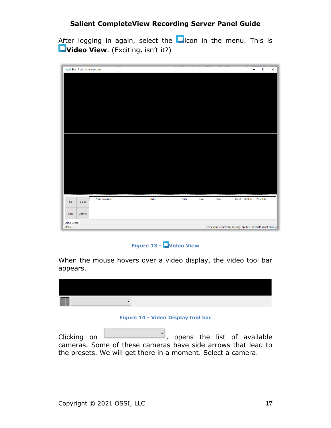After logging in again, select the **in**icon in the menu. This is **Video View**. (Exciting, isn't it?)

|               | Intelli-Site - Public School System |                         |        |          |      |                                                                         | -              | $\Box$   | $\times$ |
|---------------|-------------------------------------|-------------------------|--------|----------|------|-------------------------------------------------------------------------|----------------|----------|----------|
|               |                                     |                         |        |          |      |                                                                         |                |          |          |
|               |                                     |                         |        |          |      |                                                                         |                |          |          |
|               |                                     |                         |        |          |      |                                                                         |                |          |          |
|               |                                     |                         |        |          |      |                                                                         |                |          |          |
|               |                                     |                         |        |          |      |                                                                         |                |          |          |
|               |                                     |                         |        |          |      |                                                                         |                |          |          |
|               |                                     |                         |        |          |      |                                                                         |                |          |          |
|               |                                     |                         |        |          |      |                                                                         |                |          |          |
|               |                                     |                         |        |          |      |                                                                         |                |          |          |
|               |                                     |                         |        |          |      |                                                                         |                |          |          |
|               |                                     |                         |        |          |      |                                                                         |                |          |          |
|               |                                     |                         |        |          |      |                                                                         |                |          |          |
|               |                                     |                         |        |          |      |                                                                         |                |          |          |
|               |                                     |                         |        |          |      |                                                                         |                |          |          |
|               |                                     |                         |        |          |      |                                                                         |                |          |          |
|               |                                     |                         |        |          |      |                                                                         |                |          |          |
| Ack           | Ack All                             | <b>Alam Description</b> | Status | Priority | Date | <b>Time</b>                                                             | Count Card No. | Acked By |          |
|               |                                     |                         |        |          |      |                                                                         |                |          |          |
| Clear         | Clear All                           |                         |        |          |      |                                                                         |                |          |          |
| Queue Control |                                     |                         |        |          |      |                                                                         |                |          |          |
| Menu -        |                                     |                         |        |          |      | License Valid, expires: Wednesday, April 21, 2021 SMA is not valid [11] |                |          |          |

### **Figure 13 - Video View**

When the mouse hovers over a video display, the video tool bar appears.

#### **Figure 14 - Video Display tool bar**

Clicking on  $\begin{bmatrix} \cdot & \cdot & \cdot \\ \cdot & \cdot & \cdot \\ \cdot & \cdot & \cdot \end{bmatrix}$ , opens the list of available cameras. Some of these cameras have side arrows that lead to the presets. We will get there in a moment. Select a camera.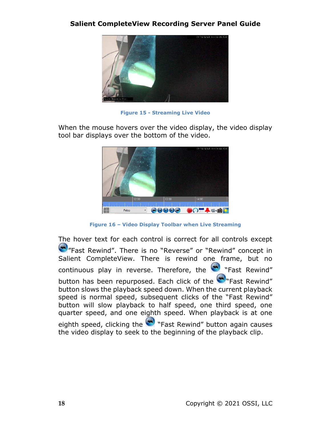

**Figure 15 - Streaming Live Video**

When the mouse hovers over the video display, the video display tool bar displays over the bottom of the video.



**Figure 16 – Video Display Toolbar when Live Streaming**

The hover text for each control is correct for all controls except "Fast Rewind". There is no "Reverse" or "Rewind" concept in Salient CompleteView. There is rewind one frame, but no continuous play in reverse. Therefore, the **S** "Fast Rewind" button has been repurposed. Each click of the **"**Fast Rewind" button slows the playback speed down. When the current playback speed is normal speed, subsequent clicks of the "Fast Rewind" button will slow playback to half speed, one third speed, one quarter speed, and one eighth speed. When playback is at one eighth speed, clicking the **"**"Fast Rewind" button again causes the video display to seek to the beginning of the playback clip.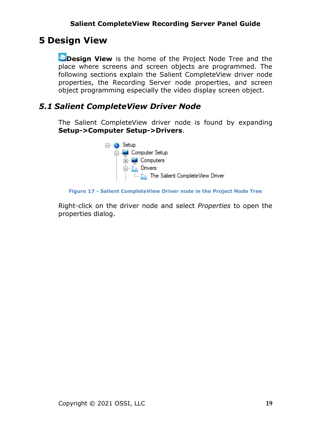# <span id="page-18-0"></span>**5 Design View**

**Design View** is the home of the Project Node Tree and the place where screens and screen objects are programmed. The following sections explain the Salient CompleteView driver node properties, the Recording Server node properties, and screen object programming especially the video display screen object.

### <span id="page-18-2"></span><span id="page-18-1"></span>*5.1 Salient CompleteView Driver Node*

The Salient CompleteView driver node is found by expanding **Setup->Computer Setup->Drivers**.



**Figure 17 - Salient CompleteView Driver node in the Project Node Tree**

Right-click on the driver node and select *Properties* to open the properties dialog.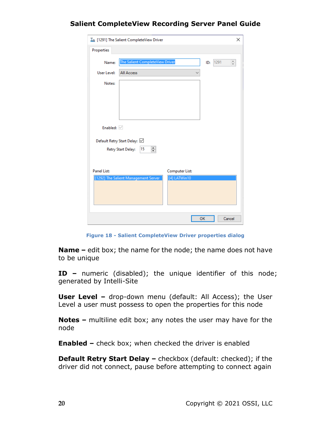|                    | I [1291] The Salient CompleteView Driver |                |           | $\times$                 |
|--------------------|------------------------------------------|----------------|-----------|--------------------------|
| Properties         |                                          |                |           |                          |
| Name:              | The Salient CompleteView Driver          |                | ID:       | $\frac{1}{\tau}$<br>1291 |
| User Level:        | <b>All Access</b>                        |                |           |                          |
| Notes:             |                                          |                |           |                          |
|                    |                                          |                |           |                          |
|                    |                                          |                |           |                          |
|                    |                                          |                |           |                          |
| Enabled: $\vee$    |                                          |                |           |                          |
|                    | Default Retry Start Delay: ☑             |                |           |                          |
|                    | H<br>15<br>Retry Start Delay:            |                |           |                          |
|                    |                                          |                |           |                          |
| <b>Panel List:</b> |                                          | Computer List: |           |                          |
|                    | [1292] The Salient Management Server     | [4] LATWin10   |           |                          |
|                    |                                          |                | <b>OK</b> | Cancel                   |
|                    |                                          |                |           |                          |

**Figure 18 - Salient CompleteView Driver properties dialog**

**Name –** edit box; the name for the node; the name does not have to be unique

**ID –** numeric (disabled); the unique identifier of this node; generated by Intelli-Site

**User Level -** drop-down menu (default: All Access); the User Level a user must possess to open the properties for this node

**Notes –** multiline edit box; any notes the user may have for the node

**Enabled –** check box; when checked the driver is enabled

**Default Retry Start Delay –** checkbox (default: checked); if the driver did not connect, pause before attempting to connect again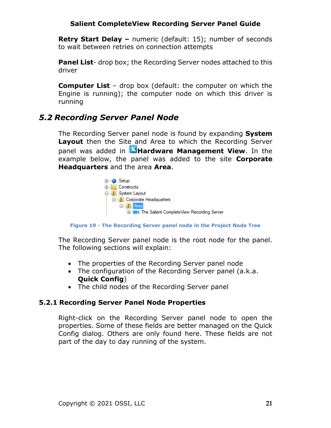**Retry Start Delay –** numeric (default: 15); number of seconds to wait between retries on connection attempts

**Panel List**- drop box; the Recording Server nodes attached to this driver

**Computer List** – drop box (default: the computer on which the Engine is running); the computer node on which this driver is running

### <span id="page-20-2"></span><span id="page-20-0"></span>*5.2 Recording Server Panel Node*

The Recording Server panel node is found by expanding **System Layout** then the Site and Area to which the Recording Server panel was added in **Mardware Management View**. In the example below, the panel was added to the site **Corporate Headquarters** and the area **Area**.



**Figure 19 - The Recording Server panel node in the Project Node Tree**

The Recording Server panel node is the root node for the panel. The following sections will explain:

- The properties of the Recording Server panel node
- The configuration of the Recording Server panel (a.k.a. **Quick Config**)
- The child nodes of the Recording Server panel

### **5.2.1 Recording Server Panel Node Properties**

<span id="page-20-1"></span>Right-click on the Recording Server panel node to open the properties. Some of these fields are better managed on the Quick Config dialog. Others are only found here. These fields are not part of the day to day running of the system.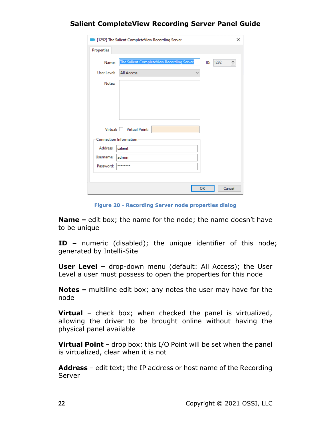|                               | 1292] The Salient CompleteView Recording Server | ×                              |
|-------------------------------|-------------------------------------------------|--------------------------------|
| Properties                    |                                                 |                                |
| Name:                         | The Salient CompleteView Recording Server       | $\frac{a}{\pi}$<br>1292<br>ID: |
| User Level:                   | <b>All Access</b><br>▽                          |                                |
| Notes:                        |                                                 |                                |
|                               |                                                 |                                |
|                               |                                                 |                                |
|                               |                                                 |                                |
|                               |                                                 |                                |
|                               | Virtual: Virtual Point:                         |                                |
| <b>Connection Information</b> |                                                 |                                |
| Address:                      | salient                                         |                                |
| Username:                     | admin                                           |                                |
| Password:                     | ********                                        |                                |
|                               |                                                 |                                |
|                               |                                                 |                                |
|                               |                                                 | OK<br>Cancel                   |

**Figure 20 - Recording Server node properties dialog**

**Name –** edit box; the name for the node; the name doesn't have to be unique

**ID –** numeric (disabled); the unique identifier of this node; generated by Intelli-Site

**User Level -** drop-down menu (default: All Access); the User Level a user must possess to open the properties for this node

**Notes –** multiline edit box; any notes the user may have for the node

**Virtual** – check box; when checked the panel is virtualized, allowing the driver to be brought online without having the physical panel available

**Virtual Point** – drop box; this I/O Point will be set when the panel is virtualized, clear when it is not

**Address** – edit text; the IP address or host name of the Recording Server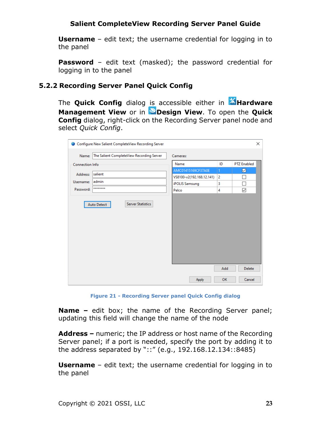**Username** – edit text; the username credential for logging in to the panel

**Password** – edit text (masked); the password credential for logging in to the panel

### **5.2.2 Recording Server Panel Quick Config**

<span id="page-22-0"></span>The **Quick Config** dialog is accessible either in **Alendware Management View** or in **Design View**. To open the **Quick Config** dialog, right-click on the Recording Server panel node and select *Quick Config*.

|                        | Configure New Salient CompleteView Recording Server |                           |     | $\times$           |
|------------------------|-----------------------------------------------------|---------------------------|-----|--------------------|
| Name:                  | The Salient CompleteView Recording Server           | Cameras:                  |     |                    |
| <b>Connection Info</b> |                                                     | Name                      | ID  | <b>PTZ Enabled</b> |
| Address:               | salient                                             | AMC01415169CF37A0E        | 1   | ☑                  |
|                        |                                                     | VS8100-v2(192.168.12.141) | 2   |                    |
| Username:              | admin                                               | iPOLIS Samsung            | 3   | П                  |
| Password:              | ********                                            | Pelco                     | 4   | $\checkmark$       |
|                        |                                                     |                           |     |                    |
|                        |                                                     |                           | Add | Delete             |
|                        |                                                     | Apply                     | OK  | Cancel             |

**Figure 21 - Recording Server panel Quick Config dialog**

**Name –** edit box; the name of the Recording Server panel; updating this field will change the name of the node

**Address –** numeric; the IP address or host name of the Recording Server panel; if a port is needed, specify the port by adding it to the address separated by "::" (e.g., 192.168.12.134::8485)

**Username** – edit text; the username credential for logging in to the panel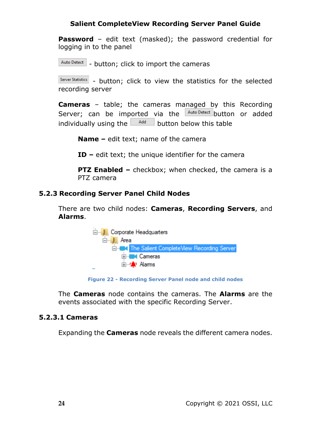**Password** – edit text (masked); the password credential for logging in to the panel

Auto Detect - button; click to import the cameras

Server Statistics - button; click to view the statistics for the selected recording server

**Cameras** – table; the cameras managed by this Recording Server; can be imported via the Auto Detect button or added individually using the  $\Box$   $\Box$  button below this table

**Name –** edit text; name of the camera

**ID –** edit text; the unique identifier for the camera

**PTZ Enabled –** checkbox; when checked, the camera is a PTZ camera

### **5.2.3 Recording Server Panel Child Nodes**

<span id="page-23-0"></span>There are two child nodes: **Cameras**, **Recording Servers**, and **Alarms**.



**Figure 22 - Recording Server Panel node and child nodes**

The **Cameras** node contains the cameras. The **Alarms** are the events associated with the specific Recording Server.

### **5.2.3.1 Cameras**

Expanding the **Cameras** node reveals the different camera nodes.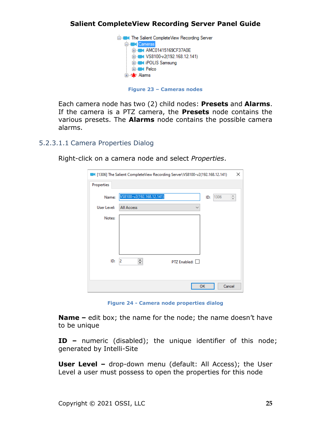

**Figure 23 – Cameras nodes**

Each camera node has two (2) child nodes: **Presets** and **Alarms**. If the camera is a PTZ camera, the **Presets** node contains the various presets. The **Alarms** node contains the possible camera alarms.

#### 5.2.3.1.1 Camera Properties Dialog

Right-click on a camera node and select *Properties*.

|             | The Salient CompleteView Recording Server\VS8100-v2(192.168.12.141) |     |      | ×      |
|-------------|---------------------------------------------------------------------|-----|------|--------|
| Properties  |                                                                     |     |      |        |
| Name:       | VS8100-v2(192.168.12.141)                                           | ID: | 1306 | ≑      |
| User Level: | <b>All Access</b><br>$\checkmark$                                   |     |      |        |
| Notes:      |                                                                     |     |      |        |
|             |                                                                     |     |      |        |
|             |                                                                     |     |      |        |
|             |                                                                     |     |      |        |
| ID:         | ≑∣<br>2<br>PTZ Enabled:                                             |     |      |        |
|             |                                                                     |     |      |        |
|             |                                                                     |     |      |        |
|             | OK                                                                  |     |      | Cancel |

**Figure 24 - Camera node properties dialog**

**Name –** edit box; the name for the node; the name doesn't have to be unique

**ID –** numeric (disabled); the unique identifier of this node; generated by Intelli-Site

**User Level -** drop-down menu (default: All Access); the User Level a user must possess to open the properties for this node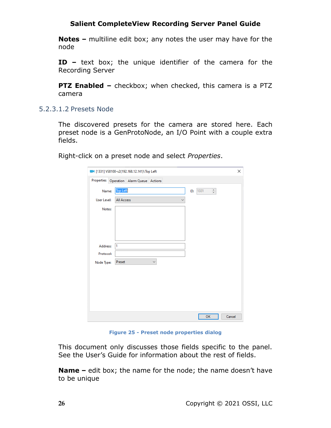**Notes –** multiline edit box; any notes the user may have for the node

**ID –** text box; the unique identifier of the camera for the Recording Server

**PTZ Enabled –** checkbox; when checked, this camera is a PTZ camera

#### 5.2.3.1.2 Presets Node

The discovered presets for the camera are stored here. Each preset node is a GenProtoNode, an I/O Point with a couple extra fields.

Right-click on a preset node and select *Properties*.

|                    | UM [1331] VS8100-v2(192.168.12.141)\Top Left               | × |
|--------------------|------------------------------------------------------------|---|
|                    | Properties Operation Alarm Queue Actions                   |   |
| Name:              | <b>Top Left</b><br>1331<br>$\frac{\triangle}{\tau}$<br>ID: |   |
| <b>User Level:</b> | <b>All Access</b><br>$\checkmark$                          |   |
| Notes:             |                                                            |   |
|                    |                                                            |   |
|                    |                                                            |   |
|                    |                                                            |   |
|                    |                                                            |   |
| Address:           | 1                                                          |   |
| Protocol:          |                                                            |   |
| Node Type:         | Preset<br>$\checkmark$                                     |   |
|                    |                                                            |   |
|                    |                                                            |   |
|                    |                                                            |   |
|                    |                                                            |   |
|                    |                                                            |   |
|                    |                                                            |   |
|                    | OK<br>Cancel                                               |   |

**Figure 25 - Preset node properties dialog**

This document only discusses those fields specific to the panel. See the User's Guide for information about the rest of fields.

**Name –** edit box; the name for the node; the name doesn't have to be unique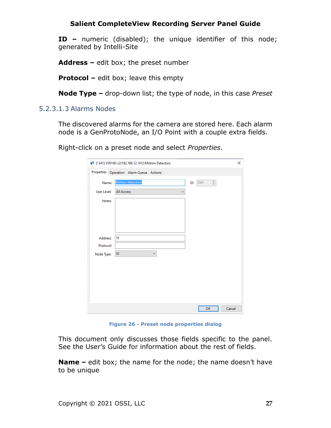**ID –** numeric (disabled); the unique identifier of this node; generated by Intelli-Site

**Address –** edit box; the preset number

**Protocol –** edit box; leave this empty

**Node Type –** drop-down list; the type of node, in this case *Preset*

#### 5.2.3.1.3 Alarms Nodes

The discovered alarms for the camera are stored here. Each alarm node is a GenProtoNode, an I/O Point with a couple extra fields.

Right-click on a preset node and select *Properties*.

|             | → [1341] VS8100-v2(192.168.12.141)\Motion Detection               | × |
|-------------|-------------------------------------------------------------------|---|
|             | Properties Operation Alarm Queue Actions                          |   |
| Name:       | <b>Motion Detection</b><br>1341<br>$\frac{\triangle}{\pi}$<br>ID: |   |
| User Level: | <b>All Access</b><br>$\checkmark$                                 |   |
| Notes:      |                                                                   |   |
|             |                                                                   |   |
|             |                                                                   |   |
|             |                                                                   |   |
| Address:    | 10                                                                |   |
| Protocol:   |                                                                   |   |
| Node Type:  | $\checkmark$<br><b>IO</b>                                         |   |
|             |                                                                   |   |
|             |                                                                   |   |
|             |                                                                   |   |
|             |                                                                   |   |
|             |                                                                   |   |
|             | OK<br>Cancel                                                      |   |

**Figure 26 - Preset node properties dialog**

This document only discusses those fields specific to the panel. See the User's Guide for information about the rest of fields.

**Name –** edit box; the name for the node; the name doesn't have to be unique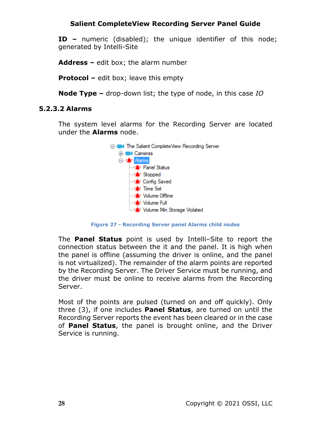**ID –** numeric (disabled); the unique identifier of this node; generated by Intelli-Site

**Address –** edit box; the alarm number

**Protocol –** edit box; leave this empty

**Node Type –** drop-down list; the type of node, in this case *IO*

### **5.2.3.2 Alarms**

The system level alarms for the Recording Server are located under the **Alarms** node.



**Figure 27 - Recording Server panel Alarms child nodes**

The **Panel Status** point is used by Intelli-Site to report the connection status between the it and the panel. It is high when the panel is offline (assuming the driver is online, and the panel is not virtualized). The remainder of the alarm points are reported by the Recording Server. The Driver Service must be running, and the driver must be online to receive alarms from the Recording Server.

Most of the points are pulsed (turned on and off quickly). Only three (3), if one includes **Panel Status**, are turned on until the Recording Server reports the event has been cleared or in the case of **Panel Status**, the panel is brought online, and the Driver Service is running.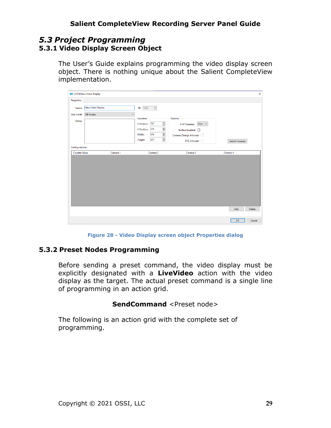### <span id="page-28-1"></span><span id="page-28-0"></span>*5.3 Project Programming* **5.3.1 Video Display Screen Object**

The User's Guide explains programming the video display screen object. There is nothing unique about the Salient CompleteView implementation.

|                        | <b>UM [1323] New Video Display</b> |              |                                                 |                                         |                       | $\times$ |
|------------------------|------------------------------------|--------------|-------------------------------------------------|-----------------------------------------|-----------------------|----------|
| Properties             |                                    |              |                                                 |                                         |                       |          |
| Name:                  | <b>New Video Display</b>           |              | $\frac{a}{\pi}$<br>1323<br>ID:                  |                                         |                       |          |
| User Level:            | <b>All Access</b>                  | $\checkmark$ |                                                 |                                         |                       |          |
| Notes:                 |                                    |              | Location<br>$\div$<br>167<br><b>X</b> Position: | Options<br>One $~\sim$<br># of Cameras: |                       |          |
|                        |                                    |              | $\frac{1}{\bullet}$<br>226<br>Y Position:       | Toolbar Enabled:                        |                       |          |
|                        |                                    |              | $\frac{\bullet}{\bullet}$<br>346<br>Width:      | Camera Change Allowed:                  |                       |          |
|                        |                                    |              | $\frac{1}{\bullet}$<br>221<br>Height:           | PTZ Allowed:                            | <b>Select Cameras</b> |          |
| <b>Configurations:</b> |                                    |              |                                                 |                                         |                       |          |
| <b>Counter Value</b>   |                                    | Camera 1     | Camera 2                                        | Camera 3                                | Camera 4              |          |
|                        |                                    |              |                                                 |                                         |                       |          |
|                        |                                    |              |                                                 |                                         |                       |          |
|                        |                                    |              |                                                 |                                         |                       |          |
|                        |                                    |              |                                                 |                                         |                       |          |
|                        |                                    |              |                                                 |                                         |                       |          |
|                        |                                    |              |                                                 |                                         |                       |          |
|                        |                                    |              |                                                 |                                         |                       |          |
|                        |                                    |              |                                                 |                                         |                       |          |
|                        |                                    |              |                                                 |                                         | Add<br><b>Delete</b>  |          |
|                        |                                    |              |                                                 |                                         |                       |          |
|                        |                                    |              |                                                 |                                         | OK<br>Cancel          |          |

**Figure 28 - Video Display screen object Properties dialog**

### <span id="page-28-2"></span>**5.3.2 Preset Nodes Programming**

Before sending a preset command, the video display must be explicitly designated with a **LiveVideo** action with the video display as the target. The actual preset command is a single line of programming in an action grid.

### **SendCommand** <Preset node>

The following is an action grid with the complete set of programming.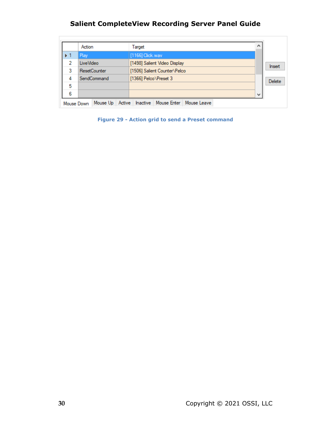|            | Action           |              |        | Target                       |                              |             |  | ∧            |  |  |  |
|------------|------------------|--------------|--------|------------------------------|------------------------------|-------------|--|--------------|--|--|--|
| D          | Play             |              |        | [1166] Click.wav             |                              |             |  |              |  |  |  |
| 2          | <b>LiveVideo</b> |              |        |                              | [1498] Salient Video Display |             |  |              |  |  |  |
| 3          |                  | ResetCounter |        | [1506] Salient Counter\Pelco |                              |             |  |              |  |  |  |
| 4          | SendCommand      |              |        | [1366] Pelco\Preset 3        |                              |             |  |              |  |  |  |
| 5          |                  |              |        |                              |                              |             |  |              |  |  |  |
| 6          |                  |              |        |                              |                              |             |  | $\checkmark$ |  |  |  |
| Mouse Down |                  | Mouse Up     | Active | <b>Inactive</b>              | Mouse Enter                  | Mouse Leave |  |              |  |  |  |

**Figure 29 - Action grid to send a Preset command**